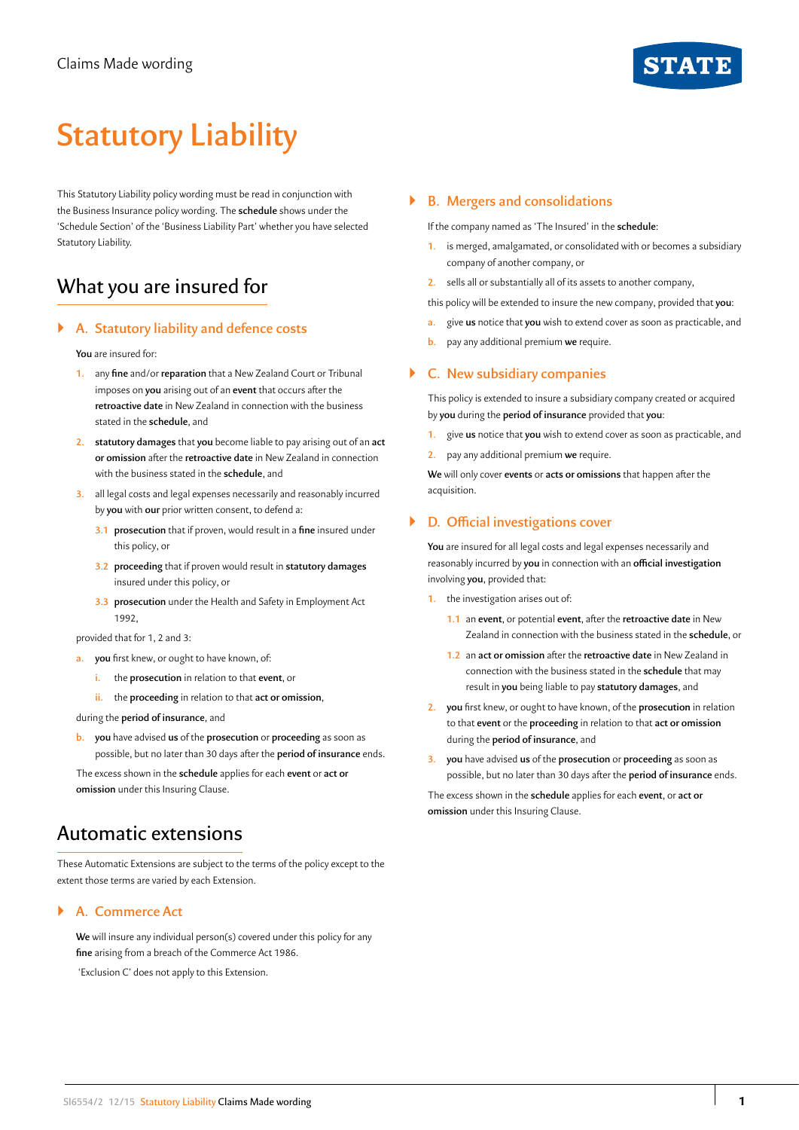

# **Statutory Liability**

This Statutory Liability policy wording must be read in conjunction with the Business Insurance policy wording. The **schedule** shows under the 'Schedule Section' of the 'Business Liability Part' whether you have selected Statutory Liability.

# What you are insured for

# ` **A. Statutory liability and defence costs**

**You** are insured for:

- **1.** any **fine** and/or **reparation** that a New Zealand Court or Tribunal imposes on **you** arising out of an **event** that occurs after the **retroactive date** in New Zealand in connection with the business stated in the **schedule**, and
- **2. statutory damages** that **you** become liable to pay arising out of an **act or omission** after the **retroactive date** in New Zealand in connection with the business stated in the **schedule**, and
- **3.** all legal costs and legal expenses necessarily and reasonably incurred by **you** with **our** prior written consent, to defend a:
	- **3.1 prosecution** that if proven, would result in a **fine** insured under this policy, or
	- **3.2 proceeding** that if proven would result in **statutory damages**  insured under this policy, or
	- **3.3 prosecution** under the Health and Safety in Employment Act 1992,

provided that for 1, 2 and 3:

- **a. you** first knew, or ought to have known, of:
	- **i.** the **prosecution** in relation to that **event**, or
	- **ii.** the **proceeding** in relation to that **act or omission**,

during the **period of insurance**, and

**b. you** have advised **us** of the **prosecution** or **proceeding** as soon as possible, but no later than 30 days after the **period of insurance** ends.

The excess shown in the **schedule** applies for each **event** or **act or omission** under this Insuring Clause.

# Automatic extensions

These Automatic Extensions are subject to the terms of the policy except to the extent those terms are varied by each Extension.

# ` **A. Commerce Act**

**We** will insure any individual person(s) covered under this policy for any **fine** arising from a breach of the Commerce Act 1986.

'Exclusion C' does not apply to this Extension.

### ` **B. Mergers and consolidations**

If the company named as 'The Insured' in the **schedule**:

**1.** is merged, amalgamated, or consolidated with or becomes a subsidiary company of another company, or

**2.** sells all or substantially all of its assets to another company,

- this policy will be extended to insure the new company, provided that **you**:
- **a.** give **us** notice that **you** wish to extend cover as soon as practicable, and
- **b.** pay any additional premium **we** require.

## ` **C. New subsidiary companies**

This policy is extended to insure a subsidiary company created or acquired by **you** during the **period of insurance** provided that **you**:

- **1.** give **us** notice that **you** wish to extend cover as soon as practicable, and
- **2.** pay any additional premium **we** require.

**We** will only cover **events** or **acts or omissions** that happen after the acquisition.

## ` **D. Official investigations cover**

**You** are insured for all legal costs and legal expenses necessarily and reasonably incurred by **you** in connection with an **official investigation**  involving **you**, provided that:

- **1.** the investigation arises out of:
	- **1.1** an **event**, or potential **event**, after the **retroactive date** in New Zealand in connection with the business stated in the **schedule**, or
	- **1.2** an **act or omission** after the **retroactive date** in New Zealand in connection with the business stated in the **schedule** that may result in **you** being liable to pay **statutory damages**, and
- **2. you** first knew, or ought to have known, of the **prosecution** in relation to that **event** or the **proceeding** in relation to that **act or omission**  during the **period of insurance**, and
- **3. you** have advised **us** of the **prosecution** or **proceeding** as soon as possible, but no later than 30 days after the **period of insurance** ends.

The excess shown in the **schedule** applies for each **event**, or **act or omission** under this Insuring Clause.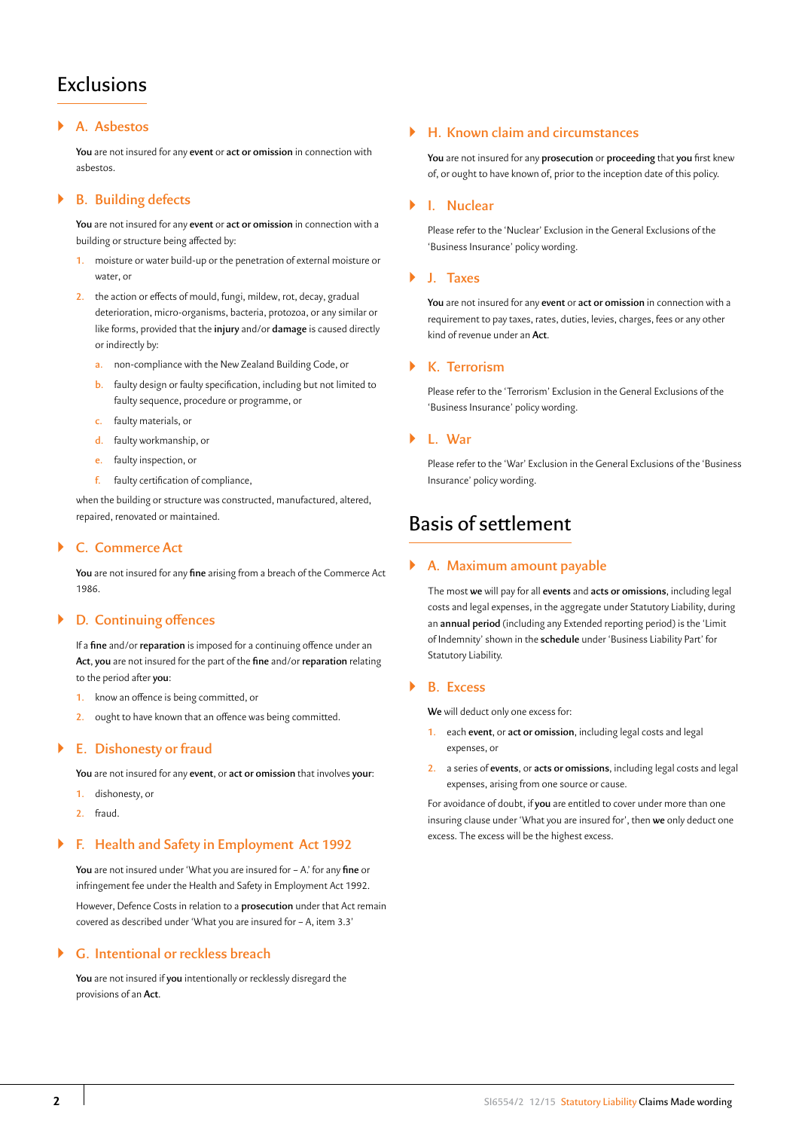# Exclusions

# ` **A. Asbestos**

**You** are not insured for any **event** or **act or omission** in connection with asbestos.

# ` **B. Building defects**

**You** are not insured for any **event** or **act or omission** in connection with a building or structure being affected by:

- **1.** moisture or water build-up or the penetration of external moisture or water, or
- **2.** the action or effects of mould, fungi, mildew, rot, decay, gradual deterioration, micro-organisms, bacteria, protozoa, or any similar or like forms, provided that the **injury** and/or **damage** is caused directly or indirectly by:
	- **a.** non-compliance with the New Zealand Building Code, or
	- **b.** faulty design or faulty specification, including but not limited to faulty sequence, procedure or programme, or
	- **c.** faulty materials, or
	- **d.** faulty workmanship, or
	- **e.** faulty inspection, or
	- **f.** faulty certification of compliance,

when the building or structure was constructed, manufactured, altered, repaired, renovated or maintained.

# ` **C. Commerce Act**

**You** are not insured for any **fine** arising from a breach of the Commerce Act 1986.

# ` **D. Continuing offences**

If a **fine** and/or **reparation** is imposed for a continuing offence under an **Act**, **you** are not insured for the part of the **fine** and/or **reparation** relating to the period after **you**:

- **1.** know an offence is being committed, or
- **2.** ought to have known that an offence was being committed.

# ` **E. Dishonesty or fraud**

**You** are not insured for any **event**, or **act or omission** that involves **your**:

- **1.** dishonesty, or
- **2.** fraud.

# ` **F. Health and Safety in Employment Act 1992**

**You** are not insured under 'What you are insured for – A.' for any **fine** or infringement fee under the Health and Safety in Employment Act 1992. However, Defence Costs in relation to a **prosecution** under that Act remain covered as described under 'What you are insured for – A, item 3.3'

# ` **G. Intentional or reckless breach**

**You** are not insured if **you** intentionally or recklessly disregard the provisions of an **Act**.

# ` **H. Known claim and circumstances**

**You** are not insured for any **prosecution** or **proceeding** that **you** first knew of, or ought to have known of, prior to the inception date of this policy.

### ` **I. Nuclear**

Please refer to the 'Nuclear' Exclusion in the General Exclusions of the 'Business Insurance' policy wording.

## ` **J. Taxes**

**You** are not insured for any **event** or **act or omission** in connection with a requirement to pay taxes, rates, duties, levies, charges, fees or any other kind of revenue under an **Act**.

# ` **K. Terrorism**

Please refer to the 'Terrorism' Exclusion in the General Exclusions of the 'Business Insurance' policy wording.

### ` **L. War**

Please refer to the 'War' Exclusion in the General Exclusions of the 'Business Insurance' policy wording.

# Basis of settlement

# ` **A. Maximum amount payable**

The most **we** will pay for all **events** and **acts or omissions**, including legal costs and legal expenses, in the aggregate under Statutory Liability, during an **annual period** (including any Extended reporting period) is the 'Limit of Indemnity' shown in the **schedule** under 'Business Liability Part' for Statutory Liability.

### ` **B. Excess**

**We** will deduct only one excess for:

- **1.** each **event**, or **act or omission**, including legal costs and legal expenses, or
- **2.** a series of **events**, or **acts or omissions**, including legal costs and legal expenses, arising from one source or cause.

For avoidance of doubt, if **you** are entitled to cover under more than one insuring clause under 'What you are insured for', then **we** only deduct one excess. The excess will be the highest excess.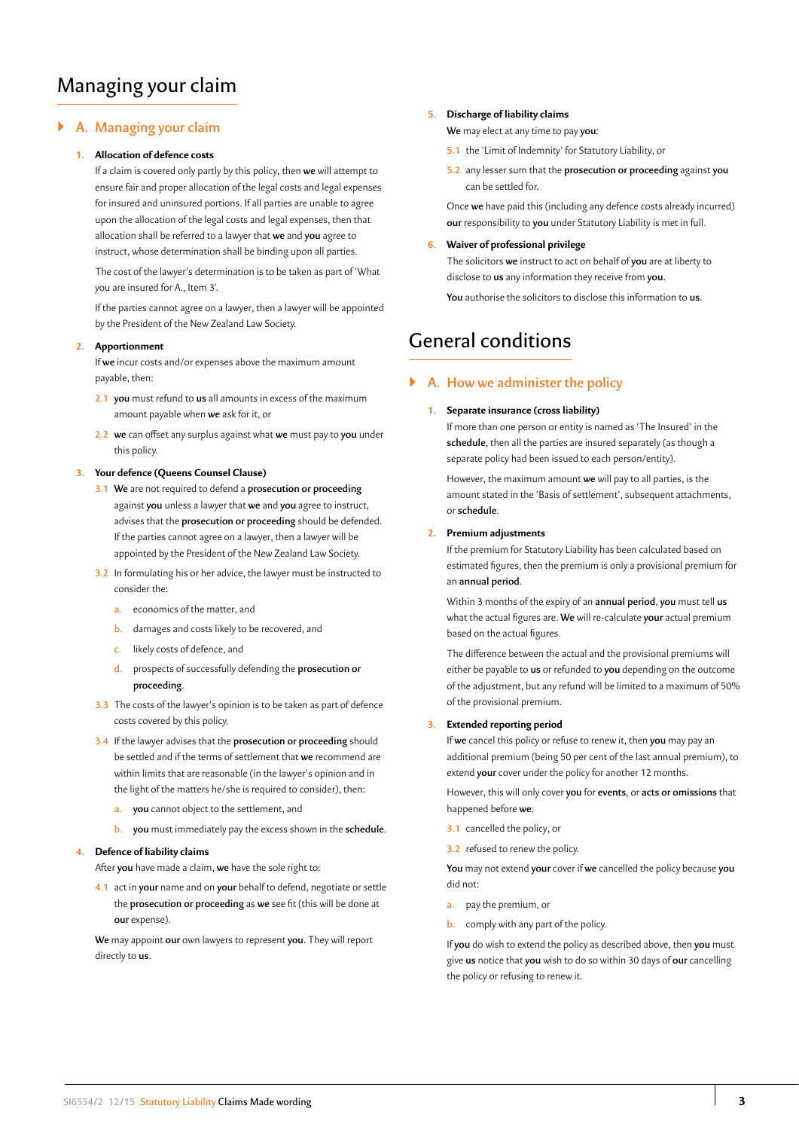# Managing your claim

# ` **A. Managing your claim**

#### **1. Allocation of defence costs**

If a claim is covered only partly by this policy, then **we** will attempt to ensure fair and proper allocation of the legal costs and legal expenses for insured and uninsured portions. If all parties are unable to agree upon the allocation of the legal costs and legal expenses, then that allocation shall be referred to a lawyer that **we** and **you** agree to instruct, whose determination shall be binding upon all parties.

The cost of the lawyer's determination is to be taken as part of 'What you are insured for A., Item 3'.

If the parties cannot agree on a lawyer, then a lawyer will be appointed by the President of the New Zealand Law Society.

#### **2. Apportionment**

If **we** incur costs and/or expenses above the maximum amount payable, then:

- **2.1 you** must refund to **us** all amounts in excess of the maximum amount payable when **we** ask for it, or
- **2.2 we** can offset any surplus against what **we** must pay to **you** under this policy.

#### **3. Your defence (Queens Counsel Clause)**

- **3.1 We** are not required to defend a **prosecution or proceeding**  against **you** unless a lawyer that **we** and **you** agree to instruct, advises that the **prosecution or proceeding** should be defended. If the parties cannot agree on a lawyer, then a lawyer will be appointed by the President of the New Zealand Law Society.
- **3.2** In formulating his or her advice, the lawyer must be instructed to consider the:
	- **a.** economics of the matter, and
	- **b.** damages and costs likely to be recovered, and
	- **c.** likely costs of defence, and
	- **d.** prospects of successfully defending the **prosecution or proceeding**.
- **3.3** The costs of the lawyer's opinion is to be taken as part of defence costs covered by this policy.
- **3.4** If the lawyer advises that the **prosecution or proceeding** should be settled and if the terms of settlement that **we** recommend are within limits that are reasonable (in the lawyer's opinion and in the light of the matters he/she is required to consider), then:
	- **a. you** cannot object to the settlement, and
	- **b. you** must immediately pay the excess shown in the **schedule**.

#### **4. Defence of liability claims**

After **you** have made a claim, **we** have the sole right to:

**4.1** act in **your** name and on **your** behalf to defend, negotiate or settle the **prosecution or proceeding** as **we** see fit (this will be done at **our** expense).

**We** may appoint **our** own lawyers to represent **you**. They will report directly to **us**.

#### **5. Discharge of liability claims**

**We** may elect at any time to pay **you**:

- **5.1** the 'Limit of Indemnity' for Statutory Liability, or
- **5.2** any lesser sum that the **prosecution or proceeding** against **you**  can be settled for.

Once **we** have paid this (including any defence costs already incurred) **our** responsibility to **you** under Statutory Liability is met in full.

## **6. Waiver of professional privilege**

The solicitors **we** instruct to act on behalf of **you** are at liberty to disclose to **us** any information they receive from **you**.

**You** authorise the solicitors to disclose this information to **us**.

# General conditions

# ` **A. How we administer the policy**

#### **1. Separate insurance (cross liability)**

If more than one person or entity is named as 'The Insured' in the **schedule**, then all the parties are insured separately (as though a separate policy had been issued to each person/entity).

However, the maximum amount **we** will pay to all parties, is the amount stated in the 'Basis of settlement', subsequent attachments, or **schedule**.

#### **2. Premium adjustments**

If the premium for Statutory Liability has been calculated based on estimated figures, then the premium is only a provisional premium for an **annual period**.

Within 3 months of the expiry of an **annual period**, **you** must tell **us**  what the actual figures are. **We** will re-calculate **your** actual premium based on the actual figures.

The difference between the actual and the provisional premiums will either be payable to **us** or refunded to **you** depending on the outcome of the adjustment, but any refund will be limited to a maximum of 50% of the provisional premium.

#### **3. Extended reporting period**

If **we** cancel this policy or refuse to renew it, then **you** may pay an additional premium (being 50 per cent of the last annual premium), to extend **your** cover under the policy for another 12 months.

However, this will only cover **you** for **events**, or **acts or omissions** that happened before **we**:

- **3.1** cancelled the policy, or
- **3.2** refused to renew the policy.

**You** may not extend **your** cover if **we** cancelled the policy because **you**  did not:

- **a.** pay the premium, or
- **b.** comply with any part of the policy.

If **you** do wish to extend the policy as described above, then **you** must give **us** notice that **you** wish to do so within 30 days of **our** cancelling the policy or refusing to renew it.